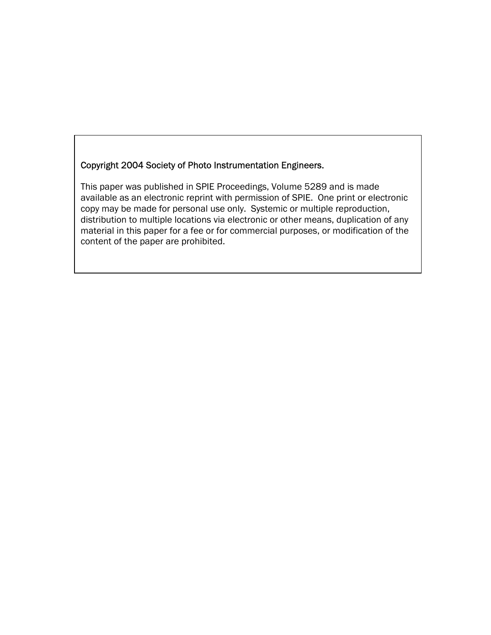## Copyright 2004 Society of Photo Instrumentation Engineers.

This paper was published in SPIE Proceedings, Volume 5289 and is made available as an electronic reprint with permission of SPIE. One print or electronic copy may be made for personal use only. Systemic or multiple reproduction, distribution to multiple locations via electronic or other means, duplication of any material in this paper for a fee or for commercial purposes, or modification of the content of the paper are prohibited.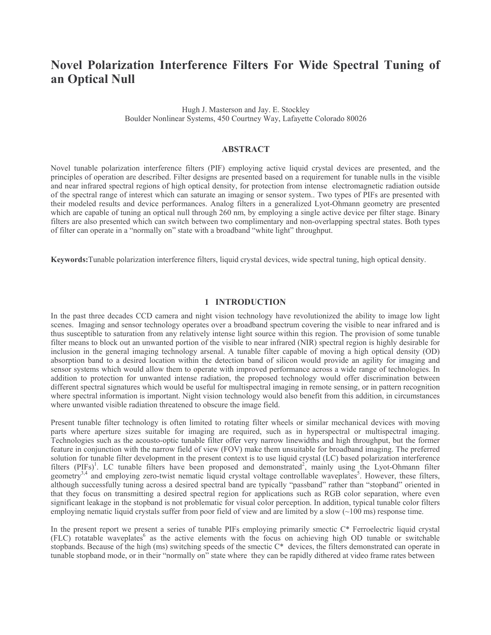# Novel Polarization Interference Filters For Wide Spectral Tuning of an Optical Null

Hugh J. Masterson and Jay. E. Stockley Boulder Nonlinear Systems, 450 Courtney Way, Lafayette Colorado 80026

#### **ABSTRACT**

Novel tunable polarization interference filters (PIF) employing active liquid crystal devices are presented, and the principles of operation are described. Filter designs are presented based on a requirement for tunable nulls in the visible and near infrared spectral regions of high optical density, for protection from intense electromagnetic radiation outside of the spectral range of interest which can saturate an imaging or sensor system. Two types of PIFs are presented with their modeled results and device performances. Analog filters in a generalized Lyot-Ohmann geometry are presented which are capable of tuning an optical null through 260 nm, by employing a single active device per filter stage. Binary filters are also presented which can switch between two complimentary and non-overlapping spectral states. Both types of filter can operate in a "normally on" state with a broadband "white light" throughput.

Keywords: Tunable polarization interference filters, liquid crystal devices, wide spectral tuning, high optical density.

#### 1 INTRODUCTION

In the past three decades CCD camera and night vision technology have revolutionized the ability to image low light scenes. Imaging and sensor technology operates over a broadband spectrum covering the visible to near infrared and is thus susceptible to saturation from any relatively intense light source within this region. The provision of some tunable filter means to block out an unwanted portion of the visible to near infrared (NIR) spectral region is highly desirable for inclusion in the general imaging technology arsenal. A tunable filter capable of moving a high optical density (OD) absorption band to a desired location within the detection band of silicon would provide an agility for imaging and sensor systems which would allow them to operate with improved performance across a wide range of technologies. In addition to protection for unwanted intense radiation, the proposed technology would offer discrimination between different spectral signatures which would be useful for multispectral imaging in remote sensing, or in pattern recognition where spectral information is important. Night vision technology would also benefit from this addition, in circumstances where unwanted visible radiation threatened to obscure the image field.

Present tunable filter technology is often limited to rotating filter wheels or similar mechanical devices with moving parts where aperture sizes suitable for imaging are required, such as in hyperspectral or multispectral imaging. Technologies such as the acousto-optic tunable filter offer very narrow linewidths and high throughput, but the former feature in conjunction with the narrow field of view (FOV) make them unsuitable for broadband imaging. The preferred solution for tunable filter development in the present context is to use liquid crystal (LC) based polarization interference filters (PIFs)<sup>1</sup>. LC tunable filters have been proposed and demonstrated<sup>2</sup>, mainly using the Lyot-Ohmann filter geometry<sup>3,4</sup> and employing zero-twist nematic liquid crystal voltage controllable waveplates<sup>5</sup>. However, these filters, although successfully tuning across a desired spectral band are typically "passband" rather than "stopband" oriented in that they focus on transmitting a desired spectral region for applications such as RGB color separation, where even significant leakage in the stopband is not problematic for visual color perception. In addition, typical tunable color filters employing nematic liquid crystals suffer from poor field of view and are limited by a slow  $(\sim 100 \text{ ms})$  response time.

In the present report we present a series of tunable PIFs employing primarily smectic C\* Ferroelectric liquid crystal (FLC) rotatable waveplates<sup>6</sup> as the active elements with the focus on achieving high OD tunable or switchable stopbands. Because of the high (ms) switching speeds of the smectic C\* devices, the filters demonstrated can operate in tunable stopband mode, or in their "normally on" state where they can be rapidly dithered at video frame rates between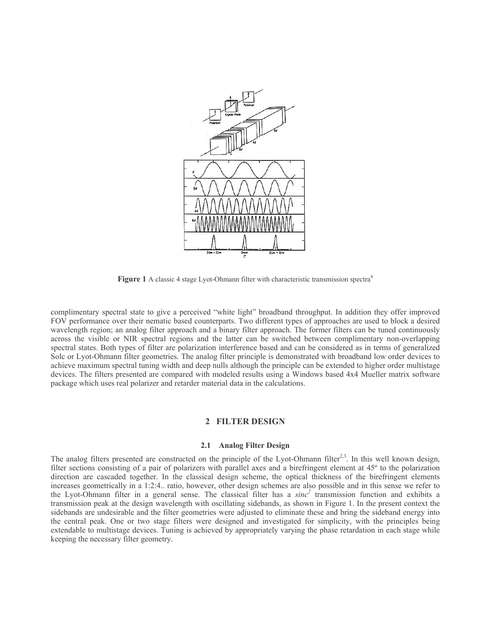

**Figure 1** A classic 4 stage Lyot-Ohmann filter with characteristic transmission spectra<sup>4</sup>

complimentary spectral state to give a perceived "white light" broadband throughput. In addition they offer improved FOV performance over their nematic based counterparts. Two different types of approaches are used to block a desired wavelength region; an analog filter approach and a binary filter approach. The former filters can be tuned continuously across the visible or NIR spectral regions and the latter can be switched between complimentary non-overlapping spectral states. Both types of filter are polarization interference based and can be considered as in terms of generalized Solc or Lyot-Ohmann filter geometries. The analog filter principle is demonstrated with broadband low order devices to achieve maximum spectral tuning width and deep nulls although the principle can be extended to higher order multistage devices. The filters presented are compared with modeled results using a Windows based 4x4 Mueller matrix software package which uses real polarizer and retarder material data in the calculations.

#### 2 FILTER DESIGN

#### 2.1 Analog Filter Design

The analog filters presented are constructed on the principle of the Lyot-Ohmann filter<sup>2,3</sup>. In this well known design, filter sections consisting of a pair of polarizers with parallel axes and a birefringent element at  $45^{\circ}$  to the polarization direction are cascaded together. In the classical design scheme, the optical thickness of the birefringent elements increases geometrically in a 1:2:4. ratio, however, other design schemes are also possible and in this sense we refer to the Lyot-Ohmann filter in a general sense. The classical filter has a  $sinc^2$  transmission function and exhibits a transmission peak at the design wavelength with oscillating sidebands, as shown in Figure 1. In the present context the sidebands are undesirable and the filter geometries were adjusted to eliminate these and bring the sideband energy into the central peak. One or two stage filters were designed and investigated for simplicity, with the principles being extendable to multistage devices. Tuning is achieved by appropriately varying the phase retardation in each stage while keeping the necessary filter geometry.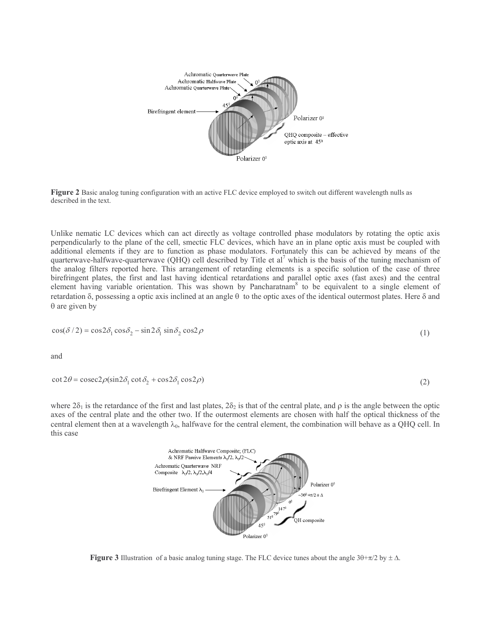

**Figure 2** Basic analog tuning configuration with an active FLC device employed to switch out different wavelength nulls as described in the text.

Unlike nematic LC devices which can act directly as voltage controlled phase modulators by rotating the optic axis perpendicularly to the plane of the cell, smectic FLC devices, which have an in plane optic axis must be coupled with additional elements if they are to function as phase modulators. Fortunately this can be achieved by means of the quarterwave-halfwave-quarterwave (QHQ) cell described by Title et al<sup>7</sup> which is the basis of the tuning mechanism of the analog filters reported here. This arrangement of retarding elements is a specific solution of the case of three birefringent plates, the first and last having identical retardations and parallel optic axes (fast axes) and the central element having variable orientation. This was shown by Pancharatnam<sup>8</sup> to be equivalent to a single element of retardation  $\delta$ , possessing a optic axis inclined at an angle  $\theta$  to the optic axes of the identical outermost plates. Here  $\delta$  and  $\theta$  are given by

$$
\cos(\delta/2) = \cos 2\delta_1 \cos \delta_2 - \sin 2\delta_1 \sin \delta_2 \cos 2\rho \tag{1}
$$

and

$$
\cot 2\theta = \csc 2\rho(\sin 2\delta_1 \cot \delta_2 + \cos 2\delta_1 \cos 2\rho)
$$

where  $2\delta_1$  is the retardance of the first and last plates,  $2\delta_2$  is that of the central plate, and  $\rho$  is the angle between the optic axes of the central plate and the other two. If the outermost elements are chosen with half the optical thickness of the central element then at a wavelength  $\lambda_0$ , halfwave for the central element, the combination will behave as a QHQ cell. In this case

 $(2)$ 



**Figure 3** Illustration of a basic analog tuning stage. The FLC device tunes about the angle  $30+\pi/2$  by  $\pm \Delta$ .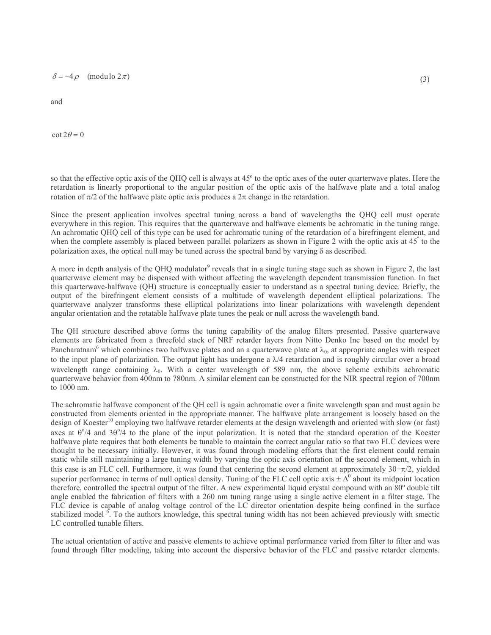$\delta = -4 \rho$  (modulo  $2 \pi$ )

and

 $\cot 2\theta = 0$ 

so that the effective optic axis of the QHQ cell is always at 45° to the optic axes of the outer quarterwave plates. Here the retardation is linearly proportional to the angular position of the optic axis of the halfwave plate and a total analog rotation of  $\pi/2$  of the halfwave plate optic axis produces a  $2\pi$  change in the retardation.

Since the present application involves spectral tuning across a band of wavelengths the QHQ cell must operate everywhere in this region. This requires that the quarterwave and halfwave elements be achromatic in the tuning range. An achromatic QHQ cell of this type can be used for achromatic tuning of the retardation of a birefringent element, and when the complete assembly is placed between parallel polarizers as shown in Figure 2 with the optic axis at  $45^{\circ}$  to the polarization axes, the optical null may be tuned across the spectral band by varying  $\delta$  as described.

A more in depth analysis of the QHQ modulator<sup>9</sup> reveals that in a single tuning stage such as shown in Figure 2, the last quarterwave element may be dispensed with without affecting the wavelength dependent transmission function. In fact this quarterwave-halfwave (QH) structure is conceptually easier to understand as a spectral tuning device. Briefly, the output of the birefringent element consists of a multitude of wavelength dependent elliptical polarizations. The quarterwave analyzer transforms these elliptical polarizations into linear polarizations with wavelength dependent angular orientation and the rotatable halfwave plate tunes the peak or null across the wavelength band.

The QH structure described above forms the tuning capability of the analog filters presented. Passive quarterwave elements are fabricated from a threefold stack of NRF retarder layers from Nitto Denko Inc based on the model by Pancharatnam<sup>6</sup> which combines two halfwave plates and an a quarterwave plate at  $\lambda_0$ , at appropriate angles with respect to the input plane of polarization. The output light has undergone a  $\lambda/4$  retardation and is roughly circular over a broad wavelength range containing  $\lambda_0$ . With a center wavelength of 589 nm, the above scheme exhibits achromatic quarterwave behavior from 400nm to 780nm. A similar element can be constructed for the NIR spectral region of 700nm to 1000 nm.

The achromatic halfwave component of the QH cell is again achromatic over a finite wavelength span and must again be constructed from elements oriented in the appropriate manner. The halfwave plate arrangement is loosely based on the design of Koester<sup>10</sup> employing two halfwave retarder elements at the design wavelength and oriented with slow (or fast) axes at  $\theta^{\circ}/4$  and  $3\theta^{\circ}/4$  to the plane of the input polarization. It is noted that the standard operation of the Koester halfwave plate requires that both elements be tunable to maintain the correct angular ratio so that two FLC devices were thought to be necessary initially. However, it was found through modeling efforts that the first element could remain static while still maintaining a large tuning width by varying the optic axis orientation of the second element, which in this case is an FLC cell. Furthermore, it was found that centering the second element at approximately  $3\theta + \pi/2$ , yielded superior performance in terms of null optical density. Tuning of the FLC cell optic axis  $\pm \hat{\Lambda}^0$  about its midpoint location therefore, controlled the spectral output of the filter. A new experimental liquid crystal compound with an 80° double tilt angle enabled the fabrication of filters with a 260 nm tuning range using a single active element in a filter stage. The FLC device is capable of analog voltage control of the LC director orientation despite being confined in the surface stabilized model <sup>6</sup>. To the authors knowledge, this spectral tuning width has not been achieved previously with smectic LC controlled tunable filters.

The actual orientation of active and passive elements to achieve optimal performance varied from filter to filter and was found through filter modeling, taking into account the dispersive behavior of the FLC and passive retarder elements.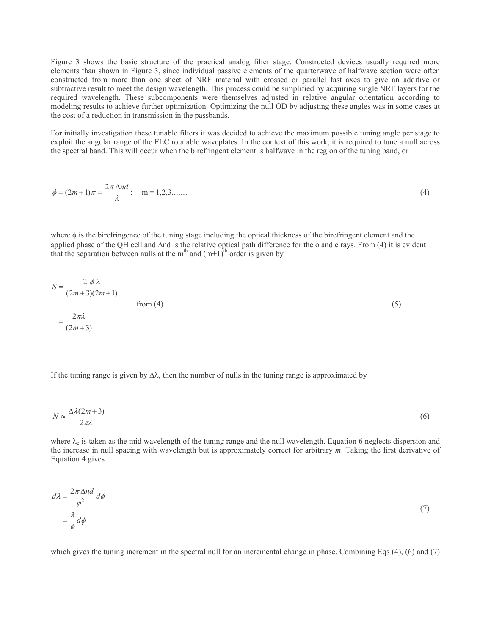Figure 3 shows the basic structure of the practical analog filter stage. Constructed devices usually required more elements than shown in Figure 3, since individual passive elements of the quarterwave of halfwave section were often constructed from more than one sheet of NRF material with crossed or parallel fast axes to give an additive or subtractive result to meet the design wavelength. This process could be simplified by acquiring single NRF layers for the required wavelength. These subcomponents were themselves adjusted in relative angular orientation according to modeling results to achieve further optimization. Optimizing the null OD by adjusting these angles was in some cases at the cost of a reduction in transmission in the passbands.

For initially investigation these tunable filters it was decided to achieve the maximum possible tuning angle per stage to exploit the angular range of the FLC rotatable waveplates. In the context of this work, it is required to tune a null across the spectral band. This will occur when the birefringent element is halfwave in the region of the tuning band, or

$$
\phi = (2m+1)\pi = \frac{2\pi \Delta nd}{\lambda}; \quad m = 1, 2, 3, .......
$$
\n(4)

where  $\phi$  is the birefringence of the tuning stage including the optical thickness of the birefringent element and the applied phase of the OH cell and  $\Delta$ nd is the relative optical path difference for the o and e rays. From (4) it is evident that the separation between nulls at the m<sup>th</sup> and  $(m+1)$ <sup>th</sup> order is given by

$$
S = \frac{2 \phi \lambda}{(2m+3)(2m+1)}
$$
  
from (4)  

$$
= \frac{2\pi\lambda}{(2m+3)}
$$
 (5)

If the tuning range is given by  $\Delta\lambda$ , then the number of nulls in the tuning range is approximated by

$$
N \approx \frac{\Delta\lambda (2m+3)}{2\pi\lambda} \tag{6}
$$

where  $\lambda_c$  is taken as the mid wavelength of the tuning range and the null wavelength. Equation 6 neglects dispersion and the increase in null spacing with wavelength but is approximately correct for arbitrary  $m$ . Taking the first derivative of Equation 4 gives

$$
d\lambda = \frac{2\pi \Delta nd}{\phi^2} d\phi
$$
  
=  $\frac{\lambda}{\phi} d\phi$  (7)

which gives the tuning increment in the spectral null for an incremental change in phase. Combining Eqs (4), (6) and (7)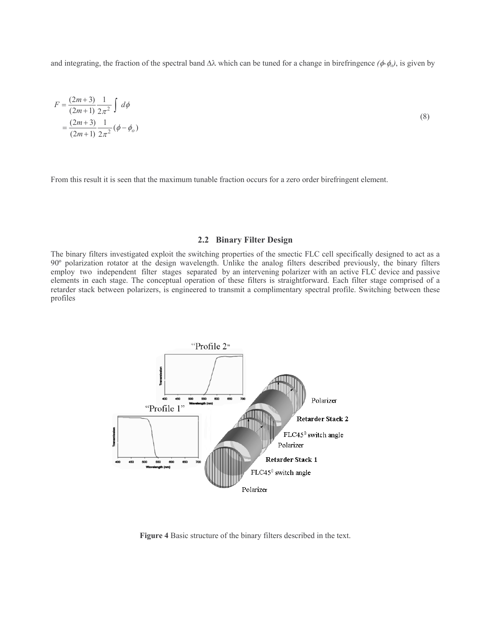and integrating, the fraction of the spectral band  $\Delta\lambda$  which can be tuned for a change in birefringence  $(\phi \phi_o)$ , is given by

$$
F = \frac{(2m+3)}{(2m+1)} \frac{1}{2\pi^2} \int d\phi
$$
  
=  $\frac{(2m+3)}{(2m+1)} \frac{1}{2\pi^2} (\phi - \phi_o)$  (8)

From this result it is seen that the maximum tunable fraction occurs for a zero order birefringent element.

#### 2.2 Binary Filter Design

The binary filters investigated exploit the switching properties of the smectic FLC cell specifically designed to act as a 90° polarization rotator at the design wavelength. Unlike the analog filters described previously, the binary filters employ two independent filter stages separated by an intervening polarizer with an active FLC device and passive elements in each stage. The conceptual operation of these filters is straightforward. Each filter stage comprised of a retarder stack between polarizers, is engineered to transmit a complimentary spectral profile. Switching between these profiles



Figure 4 Basic structure of the binary filters described in the text.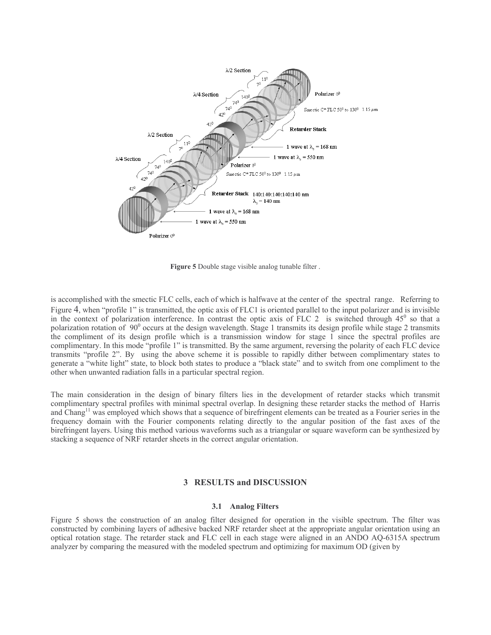

Figure 5 Double stage visible analog tunable filter.

is accomplished with the smectic FLC cells, each of which is halfwave at the center of the spectral range. Referring to Figure 4, when "profile 1" is transmitted, the optic axis of FLC1 is oriented parallel to the input polarizer and is invisible in the context of polarization interference. In contrast the optic axis of FLC 2 is switched through  $45^\circ$  so that a polarization rotation of  $90^{\circ}$  occurs at the design wavelength. Stage 1 transmits its design profile while stage 2 transmits the compliment of its design profile which is a transmission window for stage 1 since the spectral profiles are complimentary. In this mode "profile 1" is transmitted. By the same argument, reversing the polarity of each FLC device transmits "profile 2". By using the above scheme it is possible to rapidly dither between complimentary states to generate a "white light" state, to block both states to produce a "black state" and to switch from one compliment to the other when unwanted radiation falls in a particular spectral region.

The main consideration in the design of binary filters lies in the development of retarder stacks which transmit complimentary spectral profiles with minimal spectral overlap. In designing these retarder stacks the method of Harris and Chang<sup>11</sup> was employed which shows that a sequence of birefringent elements can be treated as a Fourier series in the frequency domain with the Fourier components relating directly to the angular position of the fast axes of the birefringent layers. Using this method various waveforms such as a triangular or square waveform can be synthesized by stacking a sequence of NRF retarder sheets in the correct angular orientation.

#### **3 RESULTS and DISCUSSION**

#### 3.1 Analog Filters

Figure 5 shows the construction of an analog filter designed for operation in the visible spectrum. The filter was constructed by combining layers of adhesive backed NRF retarder sheet at the appropriate angular orientation using an optical rotation stage. The retarder stack and FLC cell in each stage were aligned in an ANDO AQ-6315A spectrum analyzer by comparing the measured with the modeled spectrum and optimizing for maximum OD (given by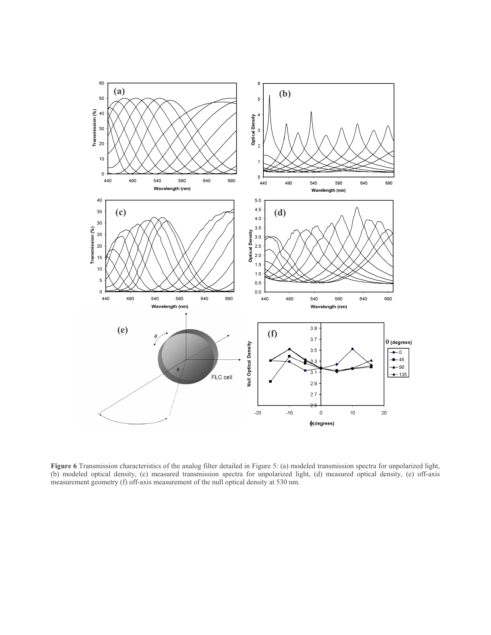

Figure 6 Transmission characteristics of the analog filter detailed in Figure 5: (a) modeled transmission spectra for unpolarized light, (b) modeled optical density, (c) measured transmission spectra for unpolarized light, measurement geometry (f) off-axis measurement of the null optical density at 530 nm.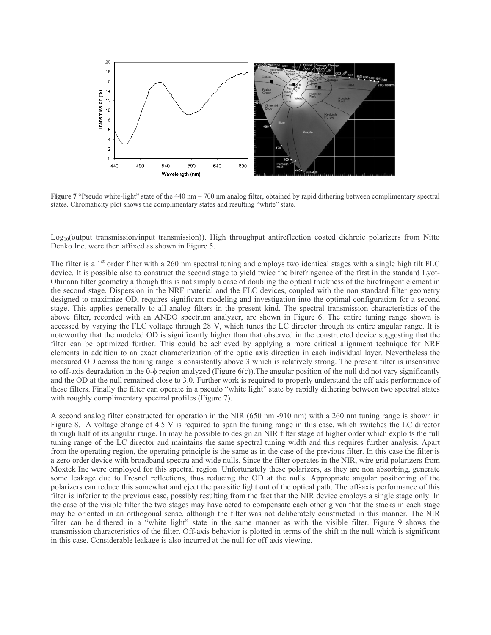

Figure 7 "Pseudo white-light" state of the 440 nm – 700 nm analog filter, obtained by rapid dithering between complimentary spectral states. Chromaticity plot shows the complimentary states and resulting "white" state.

 $Log_{10}$ (output transmission/input transmission)). High throughput antireflection coated dichroic polarizers from Nitto Denko Inc. were then affixed as shown in Figure 5.

The filter is a 1<sup>st</sup> order filter with a 260 nm spectral tuning and employs two identical stages with a single high tilt FLC device. It is possible also to construct the second stage to yield twice the birefringence of the first in the standard Lyot-Ohmann filter geometry although this is not simply a case of doubling the optical thickness of the birefringent element in the second stage. Dispersion in the NRF material and the FLC devices, coupled with the non standard filter geometry designed to maximize OD, requires significant modeling and investigation into the optimal configuration for a second stage. This applies generally to all analog filters in the present kind. The spectral transmission characteristics of the above filter, recorded with an ANDO spectrum analyzer, are shown in Figure 6. The entire tuning range shown is accessed by varying the FLC voltage through 28 V, which tunes the LC director through its entire angular range. It is noteworthy that the modeled OD is significantly higher than that observed in the constructed device suggesting that the filter can be optimized further. This could be achieved by applying a more critical alignment technique for NRF elements in addition to an exact characterization of the optic axis direction in each individual layer. Nevertheless the measured OD across the tuning range is consistently above 3 which is relatively strong. The present filter is insensitive to off-axis degradation in the  $\theta$ - $\phi$  region analyzed (Figure  $6(c)$ ). The angular position of the null did not vary significantly and the OD at the null remained close to 3.0. Further work is required to properly understand the off-axis performance of these filters. Finally the filter can operate in a pseudo "white light" state by rapidly dithering between two spectral states with roughly complimentary spectral profiles (Figure 7).

A second analog filter constructed for operation in the NIR (650 nm -910 nm) with a 260 nm tuning range is shown in Figure 8. A voltage change of 4.5 V is required to span the tuning range in this case, which switches the LC director through half of its angular range. In may be possible to design an NIR filter stage of higher order which exploits the full tuning range of the LC director and maintains the same spectral tuning width and this requires further analysis. Apart from the operating region, the operating principle is the same as in the case of the previous filter. In this case the filter is a zero order device with broadband spectra and wide nulls. Since the filter operates in the NIR, wire grid polarizers from Moxtek Inc were employed for this spectral region. Unfortunately these polarizers, as they are non absorbing, generate some leakage due to Fresnel reflections, thus reducing the OD at the nulls. Appropriate angular positioning of the polarizers can reduce this somewhat and eject the parasitic light out of the optical path. The off-axis performance of this filter is inferior to the previous case, possibly resulting from the fact that the NIR device employs a single stage only. In the case of the visible filter the two stages may have acted to compensate each other given that the stacks in each stage may be oriented in an orthogonal sense, although the filter was not deliberately constructed in this manner. The NIR filter can be dithered in a "white light" state in the same manner as with the visible filter. Figure 9 shows the transmission characteristics of the filter. Off-axis behavior is plotted in terms of the shift in the null which is significant in this case. Considerable leakage is also incurred at the null for off-axis viewing.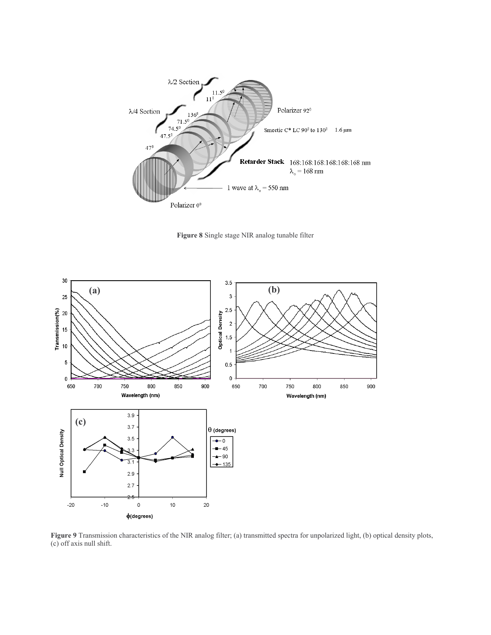

Figure 8 Single stage NIR analog tunable filter



Figure 9 Transmission characteristics of the NIR analog filter; (a) transmitted spectra for unpolarized light, (b) optical density plots, (c) off axis null shift.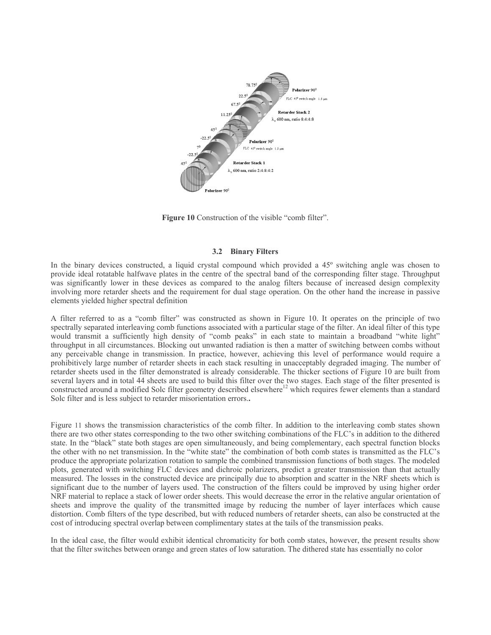

Figure 10 Construction of the visible "comb filter".

#### 3.2 Binary Filters

In the binary devices constructed, a liquid crystal compound which provided a 45° switching angle was chosen to provide ideal rotatable halfwave plates in the centre of the spectral band of the corresponding filter stage. Throughput was significantly lower in these devices as compared to the analog filters because of increased design complexity involving more retarder sheets and the requirement for dual stage operation. On the other hand the increase in passive elements yielded higher spectral definition

A filter referred to as a "comb filter" was constructed as shown in Figure 10. It operates on the principle of two spectrally separated interleaving comb functions associated with a particular stage of the filter. An ideal filter of this type would transmit a sufficiently high density of "comb peaks" in each state to maintain a broadband "white light" throughput in all circumstances. Blocking out unwanted radiation is then a matter of switching between combs without any perceivable change in transmission. In practice, however, achieving this level of performance would require a prohibitively large number of retarder sheets in each stack resulting in unacceptably degraded imaging. The number of retarder sheets used in the filter demonstrated is already considerable. The thicker sections of Figure 10 are built from several layers and in total 44 sheets are used to build this filter over the two stages. Each stage of the filter presented is constructed around a modified Solc filter geometry described elsewhere<sup>12</sup> which requires fewer elements than a standard Solc filter and is less subject to retarder misorientation errors..

Figure 11 shows the transmission characteristics of the comb filter. In addition to the interleaving comb states shown there are two other states corresponding to the two other switching combinations of the FLC's in addition to the dithered state. In the "black" state both stages are open simultaneously, and being complementary, each spectral function blocks the other with no net transmission. In the "white state" the combination of both comb states is transmitted as the FLC's produce the appropriate polarization rotation to sample the combined transmission functions of both stages. The modeled plots, generated with switching FLC devices and dichroic polarizers, predict a greater transmission than that actually measured. The losses in the constructed device are principally due to absorption and scatter in the NRF sheets which is significant due to the number of layers used. The construction of the filters could be improved by using higher order NRF material to replace a stack of lower order sheets. This would decrease the error in the relative angular orientation of sheets and improve the quality of the transmitted image by reducing the number of layer interfaces which cause distortion. Comb filters of the type described, but with reduced numbers of retarder sheets, can also be constructed at the cost of introducing spectral overlap between complimentary states at the tails of the transmission peaks.

In the ideal case, the filter would exhibit identical chromaticity for both comb states, however, the present results show that the filter switches between orange and green states of low saturation. The dithered state has essentially no color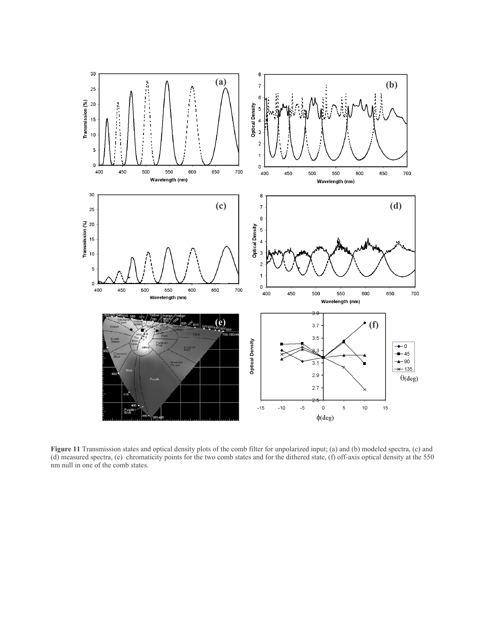

Figure 11 Transmission states and optical density plots of the comb filter for unpolarized input; (a) and (b) modeled spectra, (c) and (d) measured spectra, (e) chromaticity points for the two comb states and for the dithered state, (f) off-axis optical density at the 550 nm null in one of the comb states.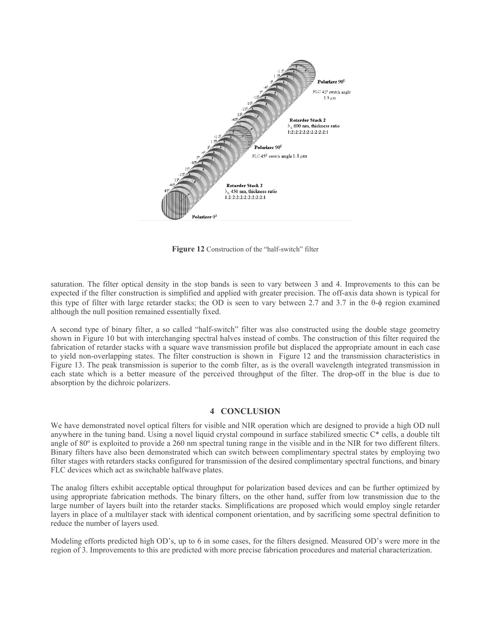

Figure 12 Construction of the "half-switch" filter

saturation. The filter optical density in the stop bands is seen to vary between 3 and 4. Improvements to this can be expected if the filter construction is simplified and applied with greater precision. The off-axis data shown is typical for this type of filter with large retarder stacks; the OD is seen to vary between 2.7 and 3.7 in the  $\theta$ - $\phi$  region examined although the null position remained essentially fixed.

A second type of binary filter, a so called "half-switch" filter was also constructed using the double stage geometry shown in Figure 10 but with interchanging spectral halves instead of combs. The construction of this filter required the fabrication of retarder stacks with a square wave transmission profile but displaced the appropriate amount in each case to yield non-overlapping states. The filter construction is shown in Figure 12 and the transmission characteristics in Figure 13. The peak transmission is superior to the comb filter, as is the overall wavelength integrated transmission in each state which is a better measure of the perceived throughput of the filter. The drop-off in the blue is due to absorption by the dichroic polarizers.

### **4 CONCLUSION**

We have demonstrated novel optical filters for visible and NIR operation which are designed to provide a high OD null anywhere in the tuning band. Using a novel liquid crystal compound in surface stabilized smectic C\* cells, a double tilt angle of  $80^\circ$  is exploited to provide a 260 nm spectral tuning range in the visible and in the NIR for two different filters. Binary filters have also been demonstrated which can switch between complimentary spectral states by employing two filter stages with retarders stacks configured for transmission of the desired complimentary spectral functions, and binary FLC devices which act as switchable halfwave plates.

The analog filters exhibit acceptable optical throughput for polarization based devices and can be further optimized by using appropriate fabrication methods. The binary filters, on the other hand, suffer from low transmission due to the large number of layers built into the retarder stacks. Simplifications are proposed which would employ single retarder layers in place of a multilayer stack with identical component orientation, and by sacrificing some spectral definition to reduce the number of layers used.

Modeling efforts predicted high OD's, up to 6 in some cases, for the filters designed. Measured OD's were more in the region of 3. Improvements to this are predicted with more precise fabrication procedures and material characterization.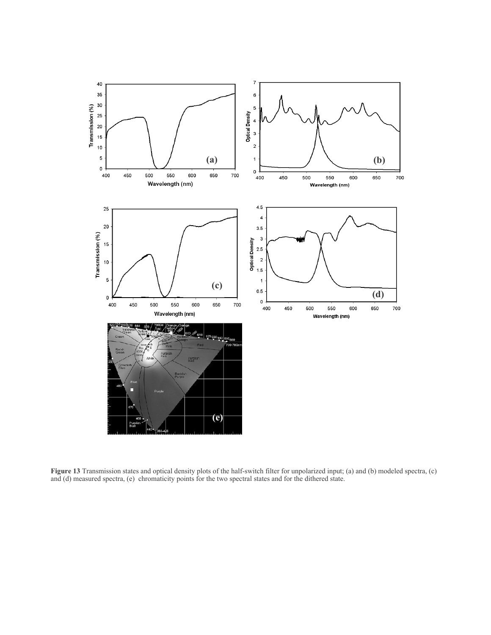

Figure 13 Transmission states and optical density plots of the half-switch filter for unpolarized input; (a) and (b) modeled spectra, (c) and (d) measured spectra, (e) chromaticity points for the two spectral states and fo